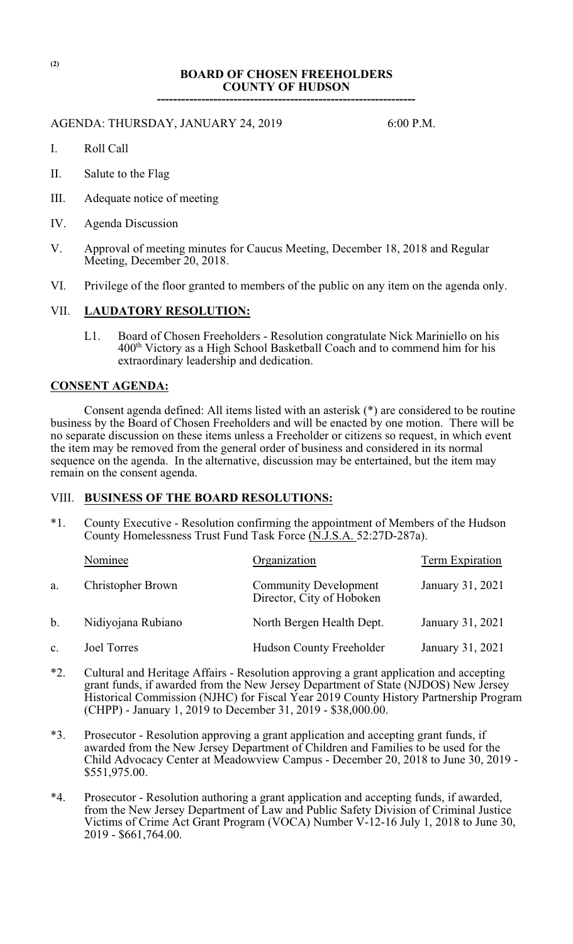### **BOARD OF CHOSEN FREEHOLDERS COUNTY OF HUDSON**

**----------------------------------------------------------------**

### AGENDA: THURSDAY, JANUARY 24, 2019 6:00 P.M.

- I. Roll Call
- II. Salute to the Flag
- III. Adequate notice of meeting
- IV. Agenda Discussion
- V. Approval of meeting minutes for Caucus Meeting, December 18, 2018 and Regular Meeting, December 20, 2018.
- VI. Privilege of the floor granted to members of the public on any item on the agenda only.

### VII. **LAUDATORY RESOLUTION:**

L1. Board of Chosen Freeholders - Resolution congratulate Nick Mariniello on his 400<sup>th</sup> Victory as a High School Basketball Coach and to commend him for his extraordinary leadership and dedication.

### **CONSENT AGENDA:**

Consent agenda defined: All items listed with an asterisk (\*) are considered to be routine business by the Board of Chosen Freeholders and will be enacted by one motion. There will be no separate discussion on these items unless a Freeholder or citizens so request, in which event the item may be removed from the general order of business and considered in its normal sequence on the agenda. In the alternative, discussion may be entertained, but the item may remain on the consent agenda.

# VIII. **BUSINESS OF THE BOARD RESOLUTIONS:**

\*1. County Executive - Resolution confirming the appointment of Members of the Hudson County Homelessness Trust Fund Task Force (N.J.S.A. 52:27D-287a).

|                | Nominee            | Organization                                              | Term Expiration  |
|----------------|--------------------|-----------------------------------------------------------|------------------|
| a.             | Christopher Brown  | <b>Community Development</b><br>Director, City of Hoboken | January 31, 2021 |
| b.             | Nidiyojana Rubiano | North Bergen Health Dept.                                 | January 31, 2021 |
| $\mathbf{c}$ . | Joel Torres        | <b>Hudson County Freeholder</b>                           | January 31, 2021 |

- \*2. Cultural and Heritage Affairs Resolution approving a grant application and accepting grant funds, if awarded from the New Jersey Department of State (NJDOS) New Jersey Historical Commission (NJHC) for Fiscal Year 2019 County History Partnership Program (CHPP) - January 1, 2019 to December 31, 2019 - \$38,000.00.
- \*3. Prosecutor Resolution approving a grant application and accepting grant funds, if awarded from the New Jersey Department of Children and Families to be used for the Child Advocacy Center at Meadowview Campus - December 20, 2018 to June 30, 2019 - \$551,975.00.
- \*4. Prosecutor Resolution authoring a grant application and accepting funds, if awarded, from the New Jersey Department of Law and Public Safety Division of Criminal Justice Victims of Crime Act Grant Program (VOCA) Number V-12-16 July 1, 2018 to June 30, 2019 - \$661,764.00.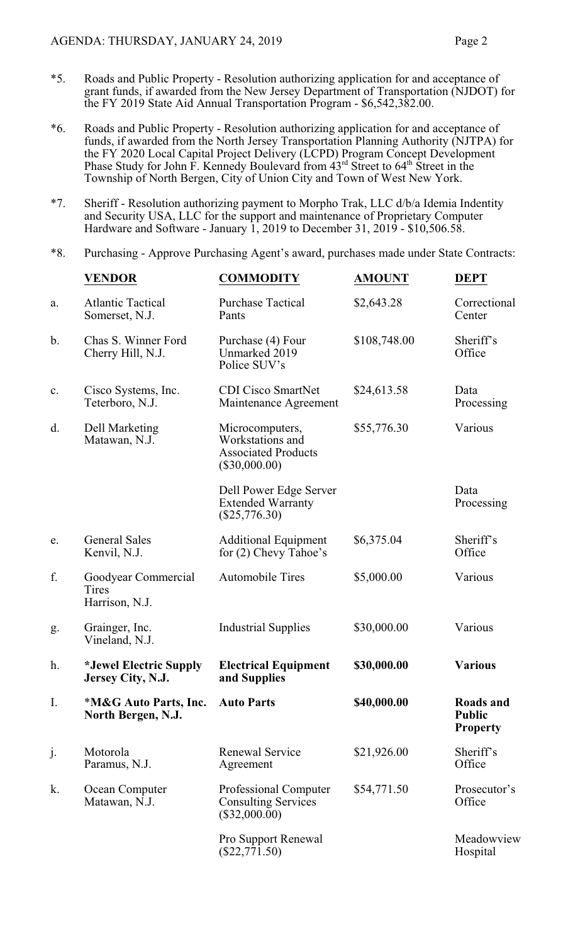- \*5. Roads and Public Property Resolution authorizing application for and acceptance of grant funds, if awarded from the New Jersey Department of Transportation (NJDOT) for the FY 2019 State Aid Annual Transportation Program - \$6,542,382.00.
- \*6. Roads and Public Property Resolution authorizing application for and acceptance of funds, if awarded from the North Jersey Transportation Planning Authority (NJTPA) for the FY 2020 Local Capital Project Delivery (LCPD) Program Concept Development Phase Study for John  $\hat{F}$ . Kennedy Boulevard from  $43^{rd}$  Street to  $64^{th}$  Street in the Township of North Bergen, City of Union City and Town of West New York.
- \*7. Sheriff Resolution authorizing payment to Morpho Trak, LLC d/b/a Idemia Indentity and Security USA, LLC for the support and maintenance of Proprietary Computer Hardware and Software - January 1, 2019 to December 31, 2019 -  $$10,506.58$ .

### \*8. Purchasing - Approve Purchasing Agent's award, purchases made under State Contracts:

|               | <b>VENDOR</b>                                  | <b>COMMODITY</b>                                                                     | <b>AMOUNT</b> | <b>DEPT</b>                                   |
|---------------|------------------------------------------------|--------------------------------------------------------------------------------------|---------------|-----------------------------------------------|
| a.            | <b>Atlantic Tactical</b><br>Somerset, N.J.     | <b>Purchase Tactical</b><br>Pants                                                    | \$2,643.28    | Correctional<br>Center                        |
| $\mathbf b$ . | Chas S. Winner Ford<br>Cherry Hill, N.J.       | Purchase (4) Four<br>Unmarked 2019<br>Police SUV's                                   | \$108,748.00  | Sheriff's<br>Office                           |
| c.            | Cisco Systems, Inc.<br>Teterboro, N.J.         | <b>CDI Cisco SmartNet</b><br>Maintenance Agreement                                   | \$24,613.58   | Data<br>Processing                            |
| d.            | <b>Dell Marketing</b><br>Matawan, N.J.         | Microcomputers,<br>Workstations and<br><b>Associated Products</b><br>$(\$30,000.00)$ | \$55,776.30   | Various                                       |
|               |                                                | Dell Power Edge Server<br><b>Extended Warranty</b><br>$(\$25,776.30)$                |               | Data<br>Processing                            |
| e.            | <b>General Sales</b><br>Kenvil, N.J.           | <b>Additional Equipment</b><br>for (2) Chevy Tahoe's                                 | \$6,375.04    | Sheriff's<br>Office                           |
| f.            | Goodyear Commercial<br>Tires<br>Harrison, N.J. | <b>Automobile Tires</b>                                                              | \$5,000.00    | Various                                       |
| g.            | Grainger, Inc.<br>Vineland, N.J.               | <b>Industrial Supplies</b>                                                           | \$30,000.00   | Various                                       |
| h.            | *Jewel Electric Supply<br>Jersey City, N.J.    | <b>Electrical Equipment</b><br>and Supplies                                          | \$30,000.00   | <b>Various</b>                                |
| I.            | *M&G Auto Parts, Inc.<br>North Bergen, N.J.    | <b>Auto Parts</b>                                                                    | \$40,000.00   | Roads and<br><b>Public</b><br><b>Property</b> |
| j.            | Motorola<br>Paramus, N.J.                      | <b>Renewal Service</b><br>Agreement                                                  | \$21,926.00   | Sheriff's<br>Office                           |
| k.            | Ocean Computer<br>Matawan, N.J.                | Professional Computer<br><b>Consulting Services</b><br>$(\$32,000.00)$               | \$54,771.50   | Prosecutor's<br>Office                        |
|               |                                                | Pro Support Renewal<br>$(\$22,771.50)$                                               |               | Meadowview<br>Hospital                        |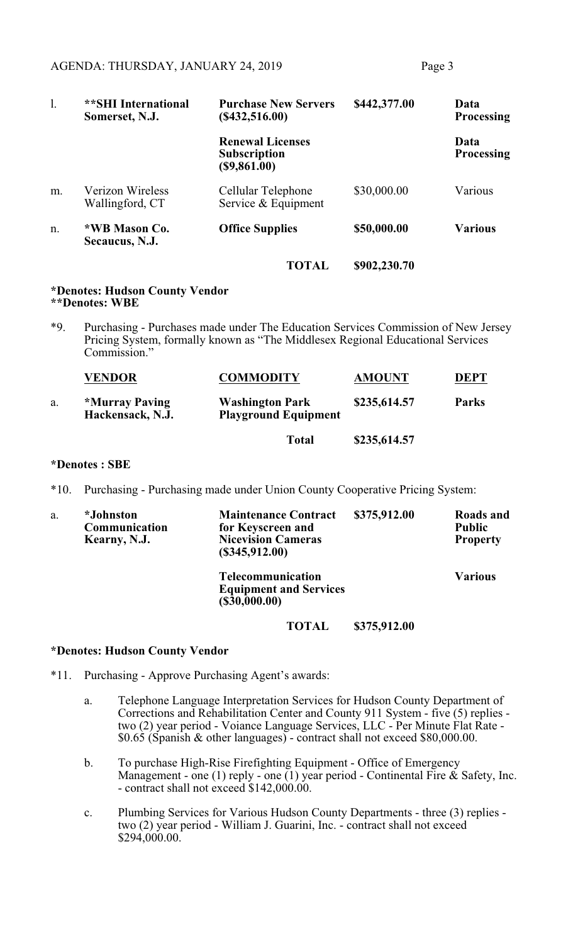| 1. | <b>**SHI International</b><br>Somerset, N.J. | <b>Purchase New Servers</b><br>(\$432,516.00)                  | \$442,377.00 | Data<br><b>Processing</b> |
|----|----------------------------------------------|----------------------------------------------------------------|--------------|---------------------------|
|    |                                              | <b>Renewal Licenses</b><br><b>Subscription</b><br>(\$9,861.00) |              | Data<br><b>Processing</b> |
| m. | <b>Verizon Wireless</b><br>Wallingford, CT   | Cellular Telephone<br>Service & Equipment                      | \$30,000.00  | Various                   |
| n. | *WB Mason Co.<br>Secaucus, N.J.              | <b>Office Supplies</b>                                         | \$50,000.00  | <b>Various</b>            |
|    |                                              | <b>TOTAL</b>                                                   | \$902,230.70 |                           |

#### **\*Denotes: Hudson County Vendor \*\*Denotes: WBE**

\*9. Purchasing - Purchases made under The Education Services Commission of New Jersey Pricing System, formally known as "The Middlesex Regional Educational Services Commission."

|    | <b>VENDOR</b>                      | <b>COMMODITY</b>                                      | <b>AMOUNT</b> | <b>DEPT</b>  |
|----|------------------------------------|-------------------------------------------------------|---------------|--------------|
| a. | *Murray Paving<br>Hackensack, N.J. | <b>Washington Park</b><br><b>Playground Equipment</b> | \$235,614.57  | <b>Parks</b> |
|    |                                    | <b>Total</b>                                          | \$235,614.57  |              |

## **\*Denotes : SBE**

\*10. Purchasing - Purchasing made under Union County Cooperative Pricing System:

| a. | <i>*Johnston</i><br>Communication<br>Kearny, N.J. | <b>Maintenance Contract</b><br>for Keyscreen and<br><b>Nicevision Cameras</b><br>(S345, 912.00) | \$375,912.00 | Roads and<br><b>Public</b><br><b>Property</b> |
|----|---------------------------------------------------|-------------------------------------------------------------------------------------------------|--------------|-----------------------------------------------|
|    |                                                   | Telecommunication<br><b>Equipment and Services</b><br>(\$30,000.00)                             |              | <b>Various</b>                                |

**TOTAL \$375,912.00**

### **\*Denotes: Hudson County Vendor**

- \*11. Purchasing Approve Purchasing Agent's awards:
	- a. Telephone Language Interpretation Services for Hudson County Department of Corrections and Rehabilitation Center and County 911 System - five (5) replies two (2) year period - Voiance Language Services, LLC - Per Minute Flat Rate - \$0.65 (Spanish & other languages) - contract shall not exceed \$80,000.00.
	- b. To purchase High-Rise Firefighting Equipment Office of Emergency Management - one (1) reply - one (1) year period - Continental Fire  $\&$  Safety, Inc. - contract shall not exceed \$142,000.00.
	- c. Plumbing Services for Various Hudson County Departments three (3) replies two (2) year period - William J. Guarini, Inc. - contract shall not exceed \$294,000.00.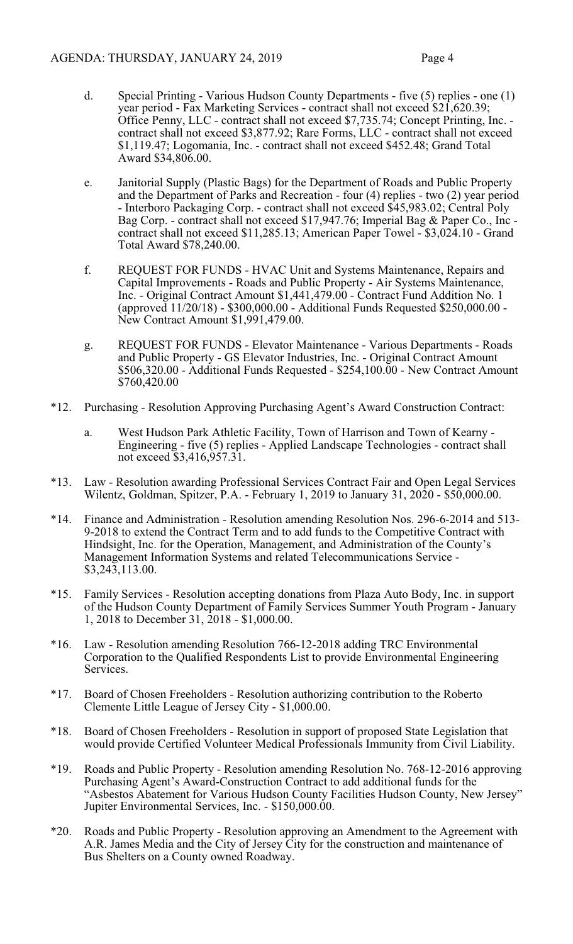- d. Special Printing Various Hudson County Departments five (5) replies one (1) year period - Fax Marketing Services - contract shall not exceed \$21,620.39; Office Penny, LLC - contract shall not exceed \$7,735.74; Concept Printing, Inc. contract shall not exceed \$3,877.92; Rare Forms, LLC - contract shall not exceed \$1,119.47; Logomania, Inc. - contract shall not exceed \$452.48; Grand Total Award \$34,806.00.
- e. Janitorial Supply (Plastic Bags) for the Department of Roads and Public Property and the Department of Parks and Recreation - four (4) replies - two (2) year period - Interboro Packaging Corp. - contract shall not exceed \$45,983.02; Central Poly Bag Corp. - contract shall not exceed \$17,947.76; Imperial Bag & Paper Co., Inc contract shall not exceed \$11,285.13; American Paper Towel - \$3,024.10 - Grand Total Award \$78,240.00.
- f. REQUEST FOR FUNDS HVAC Unit and Systems Maintenance, Repairs and Capital Improvements - Roads and Public Property - Air Systems Maintenance, Inc. - Original Contract Amount \$1,441,479.00 - Contract Fund Addition No. 1 (approved 11/20/18) - \$300,000.00 - Additional Funds Requested \$250,000.00 - New Contract Amount \$1,991,479.00.
- g. REQUEST FOR FUNDS Elevator Maintenance Various Departments Roads and Public Property - GS Elevator Industries, Inc. - Original Contract Amount \$506,320.00 - Additional Funds Requested - \$254,100.00 - New Contract Amount \$760,420.00
- \*12. Purchasing Resolution Approving Purchasing Agent's Award Construction Contract:
	- a. West Hudson Park Athletic Facility, Town of Harrison and Town of Kearny Engineering - five (5) replies - Applied Landscape Technologies - contract shall not exceed \$3,416,957.31.
- \*13. Law Resolution awarding Professional Services Contract Fair and Open Legal Services Wilentz, Goldman, Spitzer, P.A. - February 1, 2019 to January 31, 2020 - \$50,000.00.
- \*14. Finance and Administration Resolution amending Resolution Nos. 296-6-2014 and 513- 9-2018 to extend the Contract Term and to add funds to the Competitive Contract with Hindsight, Inc. for the Operation, Management, and Administration of the County's Management Information Systems and related Telecommunications Service - \$3,243,113.00.
- \*15. Family Services Resolution accepting donations from Plaza Auto Body, Inc. in support of the Hudson County Department of Family Services Summer Youth Program - January 1, 2018 to December 31, 2018 - \$1,000.00.
- \*16. Law Resolution amending Resolution 766-12-2018 adding TRC Environmental Corporation to the Qualified Respondents List to provide Environmental Engineering Services.
- \*17. Board of Chosen Freeholders Resolution authorizing contribution to the Roberto Clemente Little League of Jersey City - \$1,000.00.
- \*18. Board of Chosen Freeholders Resolution in support of proposed State Legislation that would provide Certified Volunteer Medical Professionals Immunity from Civil Liability.
- \*19. Roads and Public Property Resolution amending Resolution No. 768-12-2016 approving Purchasing Agent's Award-Construction Contract to add additional funds for the "Asbestos Abatement for Various Hudson County Facilities Hudson County, New Jersey" Jupiter Environmental Services, Inc. - \$150,000.00.
- \*20. Roads and Public Property Resolution approving an Amendment to the Agreement with A.R. James Media and the City of Jersey City for the construction and maintenance of Bus Shelters on a County owned Roadway.